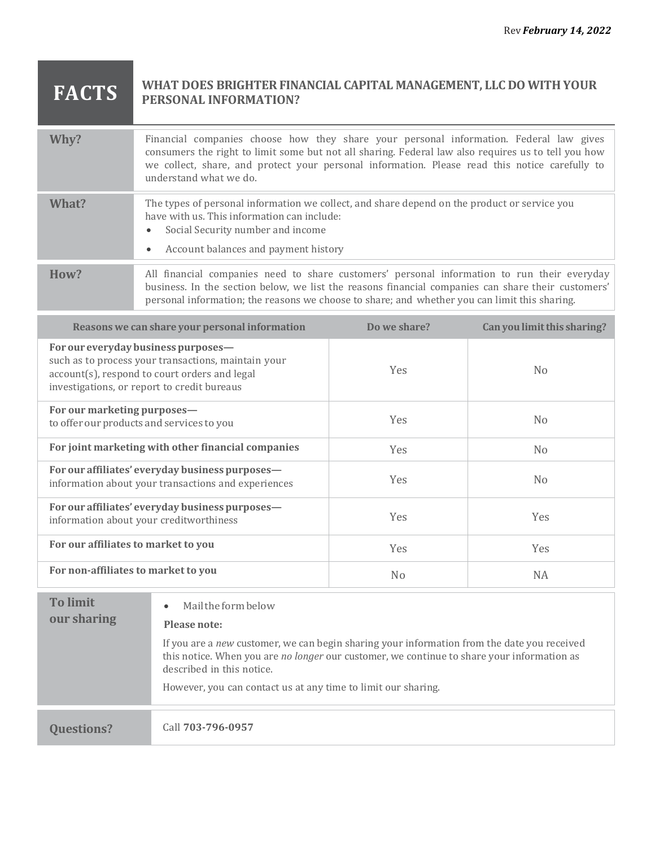## **FACTS WHAT DOES BRIGHTER FINANCIAL CAPITAL MANAGEMENT, LLC DO WITH YOUR PERSONAL INFORMATION?**

| Why?  | Financial companies choose how they share your personal information. Federal law gives<br>consumers the right to limit some but not all sharing. Federal law also requires us to tell you how<br>we collect, share, and protect your personal information. Please read this notice carefully to<br>understand what we do. |
|-------|---------------------------------------------------------------------------------------------------------------------------------------------------------------------------------------------------------------------------------------------------------------------------------------------------------------------------|
| What? | The types of personal information we collect, and share depend on the product or service you<br>have with us. This information can include:<br>Social Security number and income<br>Account balances and payment history                                                                                                  |
| How?  | All financial companies need to share customers' personal information to run their everyday<br>business. In the section below, we list the reasons financial companies can share their customers'<br>personal information; the reasons we choose to share; and whether you can limit this sharing.                        |

| Reasons we can share your personal information                                                                                                                                             | Do we share?   | Can you limit this sharing? |
|--------------------------------------------------------------------------------------------------------------------------------------------------------------------------------------------|----------------|-----------------------------|
| For our everyday business purposes-<br>such as to process your transactions, maintain your<br>account(s), respond to court orders and legal<br>investigations, or report to credit bureaus | <b>Yes</b>     | N <sub>0</sub>              |
| For our marketing purposes—<br>to offer our products and services to you                                                                                                                   | <b>Yes</b>     | N <sub>0</sub>              |
| For joint marketing with other financial companies                                                                                                                                         | <b>Yes</b>     | N <sub>0</sub>              |
| For our affiliates' everyday business purposes-<br>information about your transactions and experiences                                                                                     | <b>Yes</b>     | N <sub>0</sub>              |
| For our affiliates' everyday business purposes-<br>information about your creditworthiness                                                                                                 | <b>Yes</b>     | <b>Yes</b>                  |
| For our affiliates to market to you                                                                                                                                                        | Yes            | Yes                         |
| For non-affiliates to market to you                                                                                                                                                        | N <sub>o</sub> | NA.                         |

| <b>To limit</b><br>our sharing | Mail the form below<br>$\bullet$<br>Please note:                                                                                                                                                                       |
|--------------------------------|------------------------------------------------------------------------------------------------------------------------------------------------------------------------------------------------------------------------|
|                                | If you are a new customer, we can begin sharing your information from the date you received<br>this notice. When you are no longer our customer, we continue to share your information as<br>described in this notice. |
|                                | However, you can contact us at any time to limit our sharing.                                                                                                                                                          |
|                                |                                                                                                                                                                                                                        |
| <b>Questions?</b>              | Call 703-796-0957                                                                                                                                                                                                      |